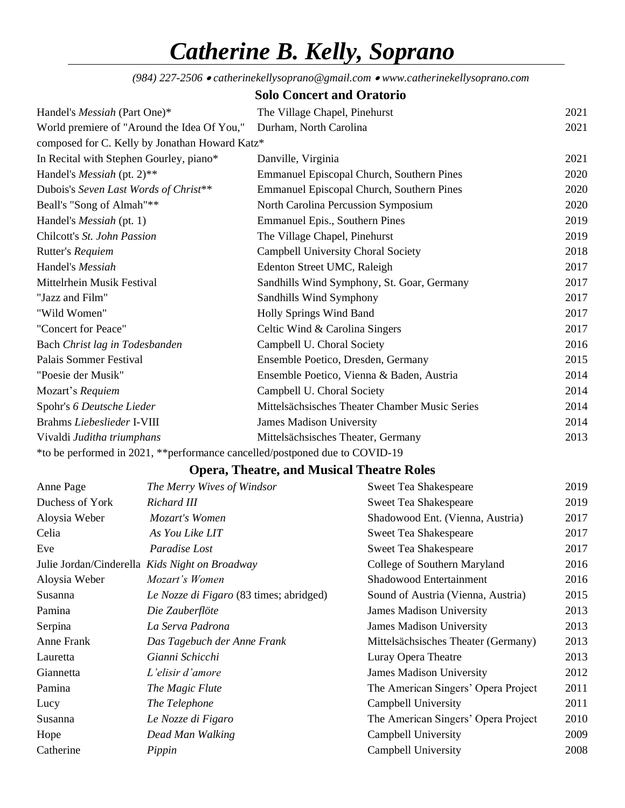## *Catherine B. Kelly, Soprano*

*(984) 227-2506* • *catherinekellysoprano@gmail.com* • *www.catherinekellysoprano.com*

|                                                                              | <b>Solo Concert and Oratorio</b>                 |      |
|------------------------------------------------------------------------------|--------------------------------------------------|------|
| Handel's <i>Messiah</i> (Part One)*                                          | The Village Chapel, Pinehurst                    | 2021 |
| World premiere of "Around the Idea Of You,"                                  | Durham, North Carolina                           | 2021 |
| composed for C. Kelly by Jonathan Howard Katz*                               |                                                  |      |
| In Recital with Stephen Gourley, piano*                                      | Danville, Virginia                               | 2021 |
| Handel's <i>Messiah</i> (pt. 2)**                                            | Emmanuel Episcopal Church, Southern Pines        | 2020 |
| Dubois's Seven Last Words of Christ**                                        | <b>Emmanuel Episcopal Church, Southern Pines</b> | 2020 |
| Beall's "Song of Almah"**                                                    | North Carolina Percussion Symposium              | 2020 |
| Handel's <i>Messiah</i> (pt. 1)                                              | Emmanuel Epis., Southern Pines                   | 2019 |
| Chilcott's St. John Passion                                                  | The Village Chapel, Pinehurst                    | 2019 |
| Rutter's Requiem                                                             | Campbell University Choral Society               | 2018 |
| Handel's Messiah                                                             | Edenton Street UMC, Raleigh                      | 2017 |
| Mittelrhein Musik Festival                                                   | Sandhills Wind Symphony, St. Goar, Germany       | 2017 |
| "Jazz and Film"                                                              | Sandhills Wind Symphony                          | 2017 |
| "Wild Women"                                                                 | Holly Springs Wind Band                          | 2017 |
| "Concert for Peace"                                                          | Celtic Wind & Carolina Singers                   | 2017 |
| Bach Christ lag in Todesbanden                                               | Campbell U. Choral Society                       | 2016 |
| Palais Sommer Festival                                                       | Ensemble Poetico, Dresden, Germany               | 2015 |
| "Poesie der Musik"                                                           | Ensemble Poetico, Vienna & Baden, Austria        | 2014 |
| Mozart's Requiem                                                             | Campbell U. Choral Society                       | 2014 |
| Spohr's 6 Deutsche Lieder                                                    | Mittelsächsisches Theater Chamber Music Series   | 2014 |
| Brahms Liebeslieder I-VIII                                                   | James Madison University                         | 2014 |
| Vivaldi Juditha triumphans                                                   | Mittelsächsisches Theater, Germany               | 2013 |
| *to be performed in 2021, ** performance cancelled/postponed due to COVID-19 |                                                  |      |

## **Opera, Theatre, and Musical Theatre Roles**

| The Merry Wives of Windsor                     | <b>Sweet Tea Shakespeare</b>        | 2019 |
|------------------------------------------------|-------------------------------------|------|
| Richard III                                    | <b>Sweet Tea Shakespeare</b>        | 2019 |
| Mozart's Women                                 | Shadowood Ent. (Vienna, Austria)    | 2017 |
| As You Like LIT                                | <b>Sweet Tea Shakespeare</b>        | 2017 |
| Paradise Lost                                  | <b>Sweet Tea Shakespeare</b>        | 2017 |
| Julie Jordan/Cinderella Kids Night on Broadway | College of Southern Maryland        | 2016 |
| Mozart's Women                                 | <b>Shadowood Entertainment</b>      | 2016 |
| Le Nozze di Figaro (83 times; abridged)        | Sound of Austria (Vienna, Austria)  | 2015 |
| Die Zauberflöte                                | <b>James Madison University</b>     | 2013 |
| La Serva Padrona                               | <b>James Madison University</b>     | 2013 |
| Das Tagebuch der Anne Frank                    | Mittelsächsisches Theater (Germany) | 2013 |
| Gianni Schicchi                                | Luray Opera Theatre                 | 2013 |
| L'elisir d'amore                               | <b>James Madison University</b>     | 2012 |
| The Magic Flute                                | The American Singers' Opera Project | 2011 |
| The Telephone                                  | Campbell University                 | 2011 |
| Le Nozze di Figaro                             | The American Singers' Opera Project | 2010 |
| Dead Man Walking                               | Campbell University                 | 2009 |
| Pippin                                         | Campbell University                 | 2008 |
|                                                |                                     |      |